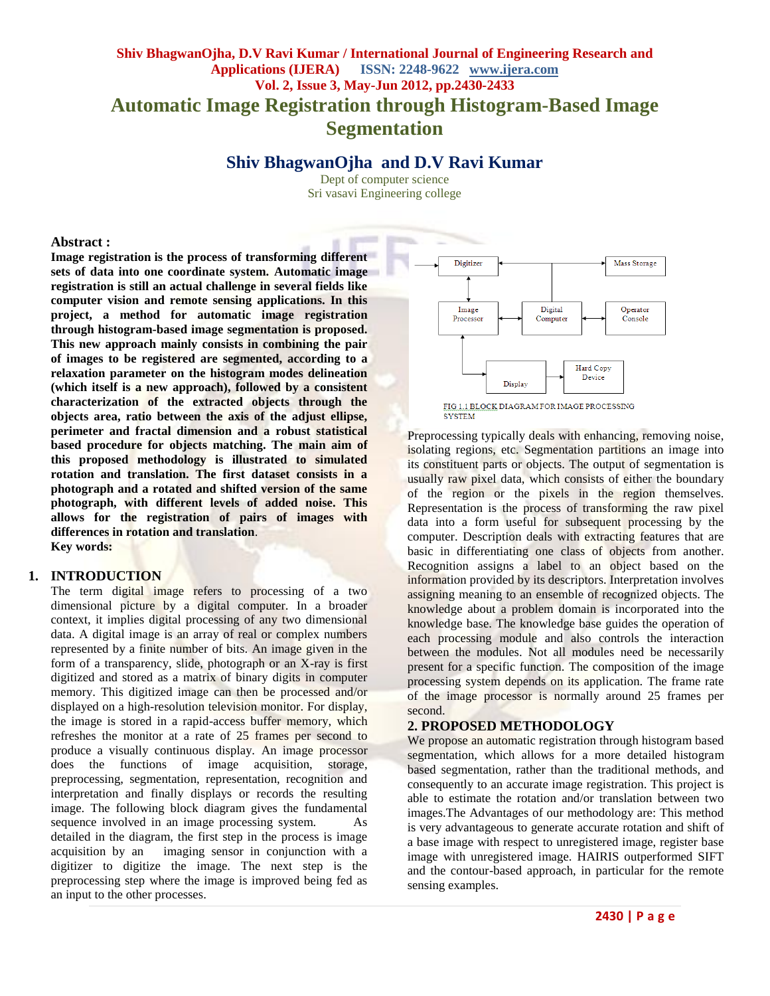# **Shiv BhagwanOjha, D.V Ravi Kumar / International Journal of Engineering Research and Applications (IJERA) ISSN: 2248-9622 www.ijera.com Vol. 2, Issue 3, May-Jun 2012, pp.2430-2433 Automatic Image Registration through Histogram-Based Image Segmentation**

**Shiv BhagwanOjha and D.V Ravi Kumar** 

Dept of computer science Sri vasavi Engineering college

#### **Abstract :**

**Image registration is the process of transforming different sets of data into one coordinate system. Automatic image registration is still an actual challenge in several fields like computer vision and remote sensing applications. In this project, a method for automatic image registration through histogram-based image segmentation is proposed. This new approach mainly consists in combining the pair of images to be registered are segmented, according to a relaxation parameter on the histogram modes delineation (which itself is a new approach), followed by a consistent characterization of the extracted objects through the objects area, ratio between the axis of the adjust ellipse, perimeter and fractal dimension and a robust statistical based procedure for objects matching. The main aim of this proposed methodology is illustrated to simulated rotation and translation. The first dataset consists in a photograph and a rotated and shifted version of the same photograph, with different levels of added noise. This allows for the registration of pairs of images with differences in rotation and translation**. **Key words:**

#### **1. INTRODUCTION**

The term digital image refers to processing of a two dimensional picture by a digital computer. In a broader context, it implies digital processing of any two dimensional data. A digital image is an array of real or complex numbers represented by a finite number of bits. An image given in the form of a transparency, slide, photograph or an X-ray is first digitized and stored as a matrix of binary digits in computer memory. This digitized image can then be processed and/or displayed on a high-resolution television monitor. For display, the image is stored in a rapid-access buffer memory, which refreshes the monitor at a rate of 25 frames per second to produce a visually continuous display. An image processor does the functions of image acquisition, storage, preprocessing, segmentation, representation, recognition and interpretation and finally displays or records the resulting image. The following block diagram gives the fundamental sequence involved in an image processing system. As detailed in the diagram, the first step in the process is image acquisition by an imaging sensor in conjunction with a digitizer to digitize the image. The next step is the preprocessing step where the image is improved being fed as an input to the other processes.



FIG 1.1 BLOCK DIAGRAM FOR IMAGE PROCESSING **SYSTEM** 

Preprocessing typically deals with enhancing, removing noise, isolating regions, etc. Segmentation partitions an image into its constituent parts or objects. The output of segmentation is usually raw pixel data, which consists of either the boundary of the region or the pixels in the region themselves. Representation is the process of transforming the raw pixel data into a form useful for subsequent processing by the computer. Description deals with extracting features that are basic in differentiating one class of objects from another. Recognition assigns a label to an object based on the information provided by its descriptors. Interpretation involves assigning meaning to an ensemble of recognized objects. The knowledge about a problem domain is incorporated into the knowledge base. The knowledge base guides the operation of each processing module and also controls the interaction between the modules. Not all modules need be necessarily present for a specific function. The composition of the image processing system depends on its application. The frame rate of the image processor is normally around 25 frames per second.

# **2. PROPOSED METHODOLOGY**

We propose an automatic registration through histogram based segmentation, which allows for a more detailed histogram based segmentation, rather than the traditional methods, and consequently to an accurate image registration. This project is able to estimate the rotation and/or translation between two images.The Advantages of our methodology are: This method is very advantageous to generate accurate rotation and shift of a base image with respect to unregistered image, register base image with unregistered image. HAIRIS outperformed SIFT and the contour-based approach, in particular for the remote sensing examples.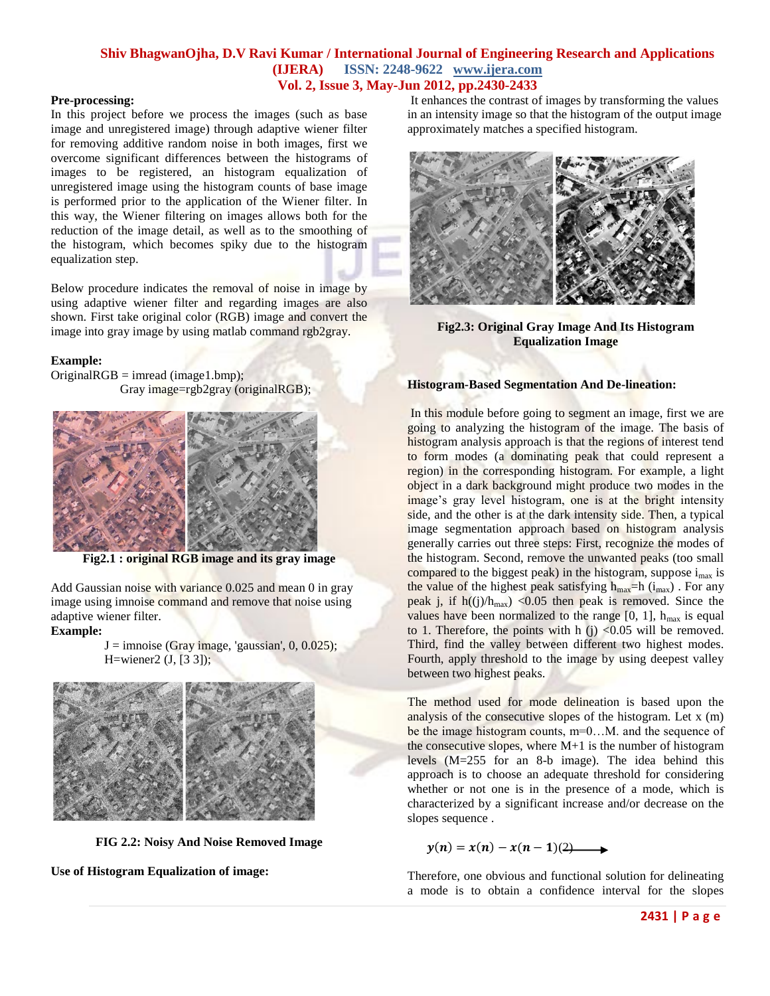#### **Shiv BhagwanOjha, D.V Ravi Kumar / International Journal of Engineering Research and Applications (IJERA) ISSN: 2248-9622 www.ijera.com Vol. 2, Issue 3, May-Jun 2012, pp.2430-2433**

#### **Pre-processing:**

In this project before we process the images (such as base image and unregistered image) through adaptive wiener filter for removing additive random noise in both images, first we overcome significant differences between the histograms of images to be registered, an histogram equalization of unregistered image using the histogram counts of base image is performed prior to the application of the Wiener filter. In this way, the Wiener filtering on images allows both for the reduction of the image detail, as well as to the smoothing of the histogram, which becomes spiky due to the histogram equalization step.

Below procedure indicates the removal of noise in image by using adaptive wiener filter and regarding images are also shown. First take original color (RGB) image and convert the image into gray image by using matlab command rgb2gray.

#### **Example:**

 $OriginalRGB = imread (image1.bmp);$ Gray image=rgb2gray (originalRGB);



**Fig2.1 : original RGB image and its gray image**

Add Gaussian noise with variance 0.025 and mean 0 in gray image using imnoise command and remove that noise using adaptive wiener filter.

#### **Example:**

 $J = \text{imnoise}$  (Gray image, 'gaussian', 0, 0.025); H=wiener2 (J, [3 3]);



**FIG 2.2: Noisy And Noise Removed Image**

**Use of Histogram Equalization of image:**

It enhances the contrast of images by transforming the values in an intensity image so that the histogram of the output image approximately matches a specified histogram.



**Fig2.3: Original Gray Image And Its Histogram Equalization Image**

#### **Histogram-Based Segmentation And De-lineation:**

In this module before going to segment an image, first we are going to analyzing the histogram of the image. The basis of histogram analysis approach is that the regions of interest tend to form modes (a dominating peak that could represent a region) in the corresponding histogram. For example, a light object in a dark background might produce two modes in the image's gray level histogram, one is at the bright intensity side, and the other is at the dark intensity side. Then, a typical image segmentation approach based on histogram analysis generally carries out three steps: First, recognize the modes of the histogram. Second, remove the unwanted peaks (too small compared to the biggest peak) in the histogram, suppose  $i_{max}$  is the value of the highest peak satisfying  $h_{max}$ =h (i<sub>max</sub>). For any peak j, if  $h((j)/h_{max})$  <0.05 then peak is removed. Since the values have been normalized to the range  $[0, 1]$ ,  $h_{max}$  is equal to 1. Therefore, the points with h  $(i)$  <0.05 will be removed. Third, find the valley between different two highest modes. Fourth, apply threshold to the image by using deepest valley between two highest peaks.

The method used for mode delineation is based upon the analysis of the consecutive slopes of the histogram. Let x (m) be the image histogram counts, m=0…M. and the sequence of the consecutive slopes, where M+1 is the number of histogram levels (M=255 for an 8-b image). The idea behind this approach is to choose an adequate threshold for considering whether or not one is in the presence of a mode, which is characterized by a significant increase and/or decrease on the slopes sequence .

 $y(n) = x(n) - x(n-1)(2)$ 

Therefore, one obvious and functional solution for delineating a mode is to obtain a confidence interval for the slopes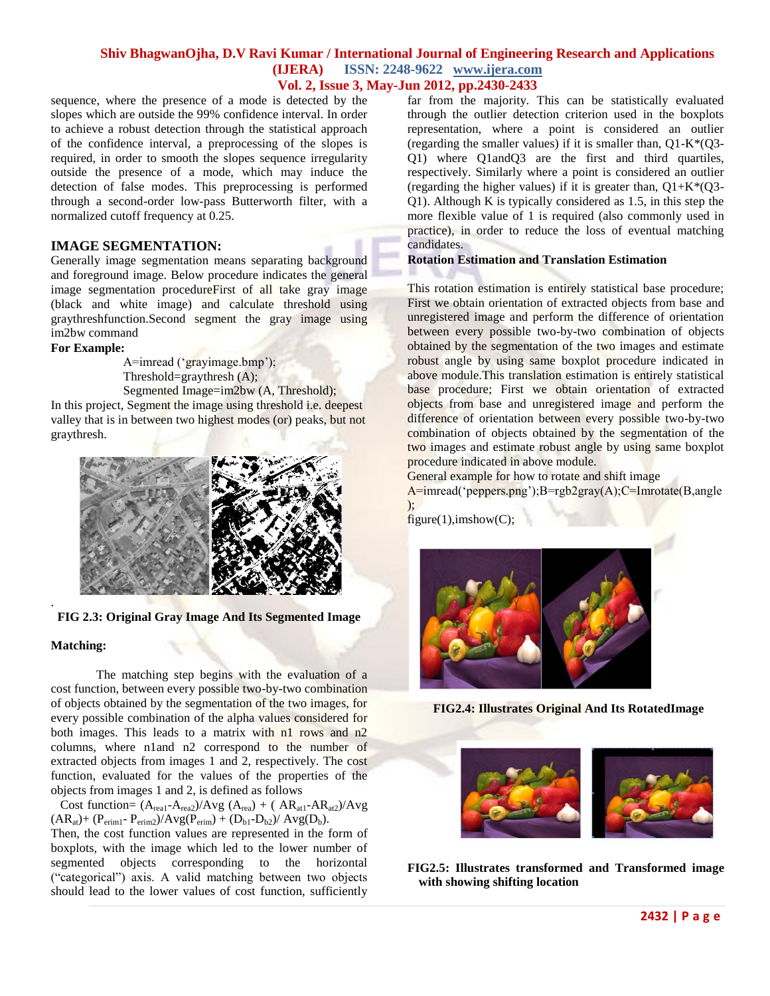#### **Shiv BhagwanOjha, D.V Ravi Kumar / International Journal of Engineering Research and Applications (IJERA) ISSN: 2248-9622 www.ijera.com Vol. 2, Issue 3, May-Jun 2012, pp.2430-2433**

sequence, where the presence of a mode is detected by the slopes which are outside the 99% confidence interval. In order to achieve a robust detection through the statistical approach of the confidence interval, a preprocessing of the slopes is required, in order to smooth the slopes sequence irregularity outside the presence of a mode, which may induce the detection of false modes. This preprocessing is performed through a second-order low-pass Butterworth filter, with a normalized cutoff frequency at 0.25.

#### **IMAGE SEGMENTATION:**

Generally image segmentation means separating background and foreground image. Below procedure indicates the general image segmentation procedureFirst of all take gray image (black and white image) and calculate threshold using graythreshfunction.Second segment the gray image using im2bw command

#### **For Example:**

A=imread ('grayimage.bmp'); Threshold=graythresh (A); Segmented Image=im2bw (A, Threshold);

In this project, Segment the image using threshold i.e. deepest valley that is in between two highest modes (or) peaks, but not graythresh.



#### **FIG 2.3: Original Gray Image And Its Segmented Image**

#### **Matching:**

.

The matching step begins with the evaluation of a cost function, between every possible two-by-two combination of objects obtained by the segmentation of the two images, for every possible combination of the alpha values considered for both images. This leads to a matrix with n1 rows and n2 columns, where n1and n2 correspond to the number of extracted objects from images 1 and 2, respectively. The cost function, evaluated for the values of the properties of the objects from images 1 and 2, is defined as follows

Cost function=  $(A_{\text{real}}-A_{\text{real}})/Avg (A_{\text{real}}) + (AR_{\text{at1}}-AR_{\text{at2}})/Avg$  $(AR_{at})+(P_{erim1}-P_{erim2})/Avg(P_{erim})+(D_{b1}-D_{b2})/Avg(D_b).$ 

Then, the cost function values are represented in the form of boxplots, with the image which led to the lower number of segmented objects corresponding to the horizontal ("categorical") axis. A valid matching between two objects should lead to the lower values of cost function, sufficiently far from the majority. This can be statistically evaluated through the outlier detection criterion used in the boxplots representation, where a point is considered an outlier (regarding the smaller values) if it is smaller than,  $Q1-K*(Q3-$ Q1) where Q1andQ3 are the first and third quartiles, respectively. Similarly where a point is considered an outlier (regarding the higher values) if it is greater than,  $Q1+K*(Q3-$ Q1). Although K is typically considered as 1.5, in this step the more flexible value of 1 is required (also commonly used in practice), in order to reduce the loss of eventual matching candidates.

#### **Rotation Estimation and Translation Estimation**

This rotation estimation is entirely statistical base procedure; First we obtain orientation of extracted objects from base and unregistered image and perform the difference of orientation between every possible two-by-two combination of objects obtained by the segmentation of the two images and estimate robust angle by using same boxplot procedure indicated in above module.This translation estimation is entirely statistical base procedure; First we obtain orientation of extracted objects from base and unregistered image and perform the difference of orientation between every possible two-by-two combination of objects obtained by the segmentation of the two images and estimate robust angle by using same boxplot procedure indicated in above module.

General example for how to rotate and shift image

A=imread('peppers.png');B=rgb2gray(A);C=Imrotate(B,angle );

 $figure(1),imshow(C);$ 



**FIG2.4: Illustrates Original And Its RotatedImage**



**FIG2.5: Illustrates transformed and Transformed image with showing shifting location**